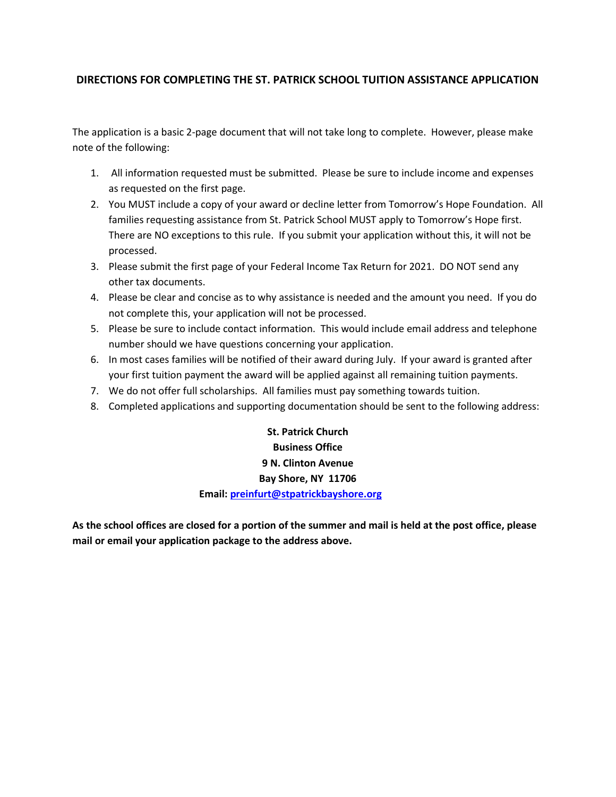## **DIRECTIONS FOR COMPLETING THE ST. PATRICK SCHOOL TUITION ASSISTANCE APPLICATION**

The application is a basic 2-page document that will not take long to complete. However, please make note of the following:

- 1. All information requested must be submitted. Please be sure to include income and expenses as requested on the first page.
- 2. You MUST include a copy of your award or decline letter from Tomorrow's Hope Foundation. All families requesting assistance from St. Patrick School MUST apply to Tomorrow's Hope first. There are NO exceptions to this rule. If you submit your application without this, it will not be processed.
- 3. Please submit the first page of your Federal Income Tax Return for 2021. DO NOT send any other tax documents.
- 4. Please be clear and concise as to why assistance is needed and the amount you need. If you do not complete this, your application will not be processed.
- 5. Please be sure to include contact information. This would include email address and telephone number should we have questions concerning your application.
- 6. In most cases families will be notified of their award during July. If your award is granted after your first tuition payment the award will be applied against all remaining tuition payments.
- 7. We do not offer full scholarships. All families must pay something towards tuition.
- 8. Completed applications and supporting documentation should be sent to the following address:

**St. Patrick Church Business Office 9 N. Clinton Avenue Bay Shore, NY 11706 Email: [preinfurt@stpatrickbayshore.org](mailto:preinfurt@stpatrickbayshore.org)**

**As the school offices are closed for a portion of the summer and mail is held at the post office, please mail or email your application package to the address above.**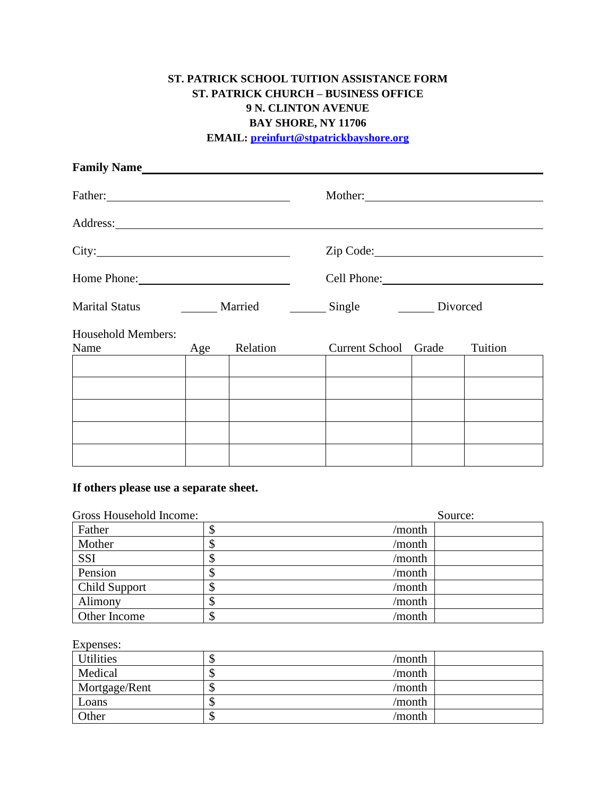# **ST. PATRICK SCHOOL TUITION ASSISTANCE FORM ST. PATRICK CHURCH – BUSINESS OFFICE 9 N. CLINTON AVENUE BAY SHORE, NY 11706**

**EMAIL: [preinfurt@s](mailto:preinfurt@)tpatrickbayshore.org**

| Family Name                |     |          |                      |                                                                   |         |  |
|----------------------------|-----|----------|----------------------|-------------------------------------------------------------------|---------|--|
| Father:                    |     |          |                      |                                                                   |         |  |
|                            |     |          |                      |                                                                   |         |  |
|                            |     |          | Zip Code: 2000 Code: |                                                                   |         |  |
| Home Phone: 2008           |     |          |                      | Cell Phone: 2008                                                  |         |  |
|                            |     |          |                      | Marital Status ________ Married ________ Single ________ Divorced |         |  |
| Household Members:<br>Name | Age | Relation | Current School Grade |                                                                   | Tuition |  |
|                            |     |          |                      |                                                                   |         |  |
|                            |     |          |                      |                                                                   |         |  |
|                            |     |          |                      |                                                                   |         |  |
|                            |     |          |                      |                                                                   |         |  |
|                            |     |          |                      |                                                                   |         |  |

## **If others please use a separate sheet.**

| Gross Household Income: |             | Source: |  |  |
|-------------------------|-------------|---------|--|--|
| Father                  | /month      |         |  |  |
| Mother                  | /month<br>Φ |         |  |  |
| <b>SSI</b>              | /month      |         |  |  |
| Pension                 | /month<br>Φ |         |  |  |
| Child Support           | /month      |         |  |  |
| Alimony                 | /month      |         |  |  |
| Other Income            | /month      |         |  |  |

## Expenses:

| <b>Utilities</b> | /month<br>◡  |  |
|------------------|--------------|--|
| Medical          | /month<br>κD |  |
| Mortgage/Rent    | /month<br>κD |  |
| Loans            | /month<br>κD |  |
| Other            | /month<br>۰D |  |